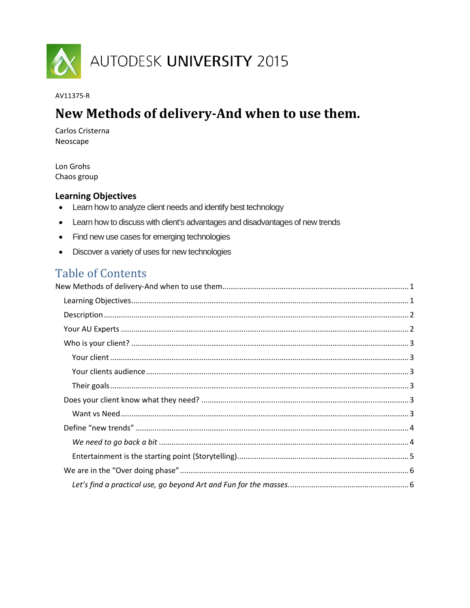

#### AV11375-R

# <span id="page-0-0"></span>New Methods of delivery-And when to use them.

Carlos Cristerna Neoscape

Lon Grohs Chaos group

# <span id="page-0-1"></span>**Learning Objectives**

- $\bullet$ Learn how to analyze client needs and identify best technology
- Learn how to discuss with client's advantages and disadvantages of new trends  $\bullet$
- Find new use cases for emerging technologies
- Discover a variety of uses for new technologies

# **Table of Contents**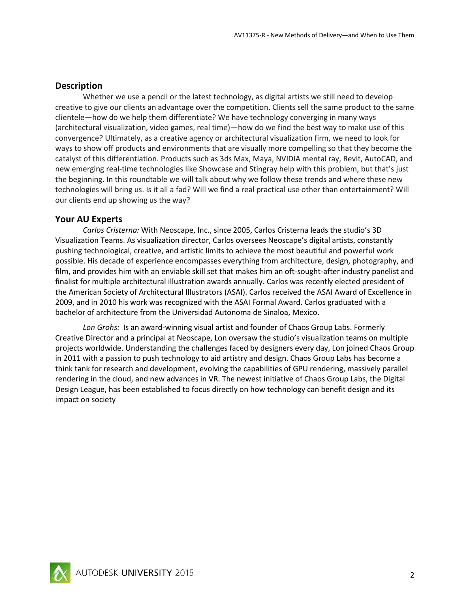## <span id="page-1-0"></span>**Description**

Whether we use a pencil or the latest technology, as digital artists we still need to develop creative to give our clients an advantage over the competition. Clients sell the same product to the same clientele—how do we help them differentiate? We have technology converging in many ways (architectural visualization, video games, real time)—how do we find the best way to make use of this convergence? Ultimately, as a creative agency or architectural visualization firm, we need to look for ways to show off products and environments that are visually more compelling so that they become the catalyst of this differentiation. Products such as 3ds Max, Maya, NVIDIA mental ray, Revit, AutoCAD, and new emerging real-time technologies like Showcase and Stingray help with this problem, but that's just the beginning. In this roundtable we will talk about why we follow these trends and where these new technologies will bring us. Is it all a fad? Will we find a real practical use other than entertainment? Will our clients end up showing us the way?

## <span id="page-1-1"></span>**Your AU Experts**

*Carlos Cristerna:* With Neoscape, Inc., since 2005, Carlos Cristerna leads the studio's 3D Visualization Teams. As visualization director, Carlos oversees Neoscape's digital artists, constantly pushing technological, creative, and artistic limits to achieve the most beautiful and powerful work possible. His decade of experience encompasses everything from architecture, design, photography, and film, and provides him with an enviable skill set that makes him an oft-sought-after industry panelist and finalist for multiple architectural illustration awards annually. Carlos was recently elected president of the American Society of Architectural Illustrators (ASAI). Carlos received the ASAI Award of Excellence in 2009, and in 2010 his work was recognized with the ASAI Formal Award. Carlos graduated with a bachelor of architecture from the Universidad Autonoma de Sinaloa, Mexico.

*Lon Grohs:* Is an award-winning visual artist and founder of Chaos Group Labs. Formerly Creative Director and a principal at Neoscape, Lon oversaw the studio's visualization teams on multiple projects worldwide. Understanding the challenges faced by designers every day, Lon joined Chaos Group in 2011 with a passion to push technology to aid artistry and design. Chaos Group Labs has become a think tank for research and development, evolving the capabilities of GPU rendering, massively parallel rendering in the cloud, and new advances in VR. The newest initiative of Chaos Group Labs, the Digital Design League, has been established to focus directly on how technology can benefit design and its impact on society

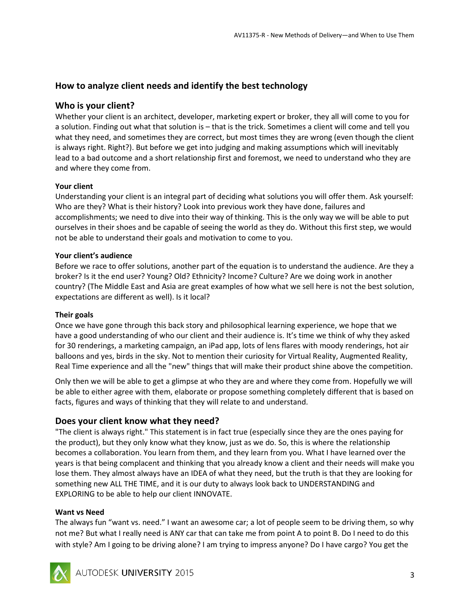# **How to analyze client needs and identify the best technology**

## <span id="page-2-0"></span>**Who is your client?**

Whether your client is an architect, developer, marketing expert or broker, they all will come to you for a solution. Finding out what that solution is – that is the trick. Sometimes a client will come and tell you what they need, and sometimes they are correct, but most times they are wrong (even though the client is always right. Right?). But before we get into judging and making assumptions which will inevitably lead to a bad outcome and a short relationship first and foremost, we need to understand who they are and where they come from.

## <span id="page-2-1"></span>**Your client**

Understanding your client is an integral part of deciding what solutions you will offer them. Ask yourself: Who are they? What is their history? Look into previous work they have done, failures and accomplishments; we need to dive into their way of thinking. This is the only way we will be able to put ourselves in their shoes and be capable of seeing the world as they do. Without this first step, we would not be able to understand their goals and motivation to come to you.

## <span id="page-2-2"></span>**Your client's audience**

Before we race to offer solutions, another part of the equation is to understand the audience. Are they a broker? Is it the end user? Young? Old? Ethnicity? Income? Culture? Are we doing work in another country? (The Middle East and Asia are great examples of how what we sell here is not the best solution, expectations are different as well). Is it local?

## <span id="page-2-3"></span>**Their goals**

Once we have gone through this back story and philosophical learning experience, we hope that we have a good understanding of who our client and their audience is. It's time we think of why they asked for 30 renderings, a marketing campaign, an iPad app, lots of lens flares with moody renderings, hot air balloons and yes, birds in the sky. Not to mention their curiosity for Virtual Reality, Augmented Reality, Real Time experience and all the "new" things that will make their product shine above the competition.

Only then we will be able to get a glimpse at who they are and where they come from. Hopefully we will be able to either agree with them, elaborate or propose something completely different that is based on facts, figures and ways of thinking that they will relate to and understand.

## <span id="page-2-4"></span>**Does your client know what they need?**

"The client is always right." This statement is in fact true (especially since they are the ones paying for the product), but they only know what they know, just as we do. So, this is where the relationship becomes a collaboration. You learn from them, and they learn from you. What I have learned over the years is that being complacent and thinking that you already know a client and their needs will make you lose them. They almost always have an IDEA of what they need, but the truth is that they are looking for something new ALL THE TIME, and it is our duty to always look back to UNDERSTANDING and EXPLORING to be able to help our client INNOVATE.

## <span id="page-2-5"></span>**Want vs Need**

The always fun "want vs. need." I want an awesome car; a lot of people seem to be driving them, so why not me? But what I really need is ANY car that can take me from point A to point B. Do I need to do this with style? Am I going to be driving alone? I am trying to impress anyone? Do I have cargo? You get the

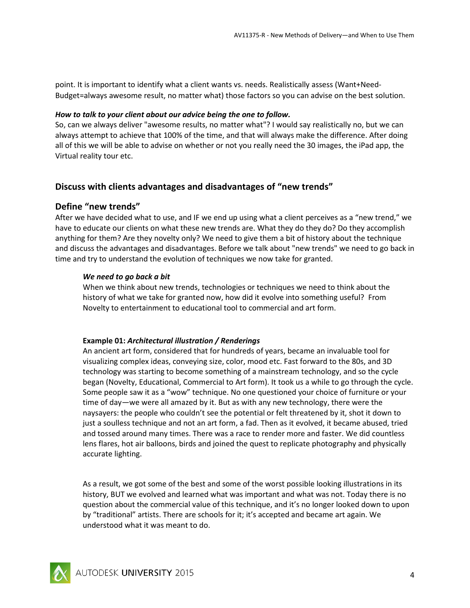point. It is important to identify what a client wants vs. needs. Realistically assess (Want+Need-Budget=always awesome result, no matter what) those factors so you can advise on the best solution.

#### *How to talk to your client about our advice being the one to follow.*

So, can we always deliver "awesome results, no matter what"? I would say realistically no, but we can always attempt to achieve that 100% of the time, and that will always make the difference. After doing all of this we will be able to advise on whether or not you really need the 30 images, the iPad app, the Virtual reality tour etc.

## **Discuss with clients advantages and disadvantages of "new trends"**

## <span id="page-3-0"></span>**Define "new trends"**

After we have decided what to use, and IF we end up using what a client perceives as a "new trend," we have to educate our clients on what these new trends are. What they do they do? Do they accomplish anything for them? Are they novelty only? We need to give them a bit of history about the technique and discuss the advantages and disadvantages. Before we talk about "new trends" we need to go back in time and try to understand the evolution of techniques we now take for granted.

## <span id="page-3-1"></span>*We need to go back a bit*

When we think about new trends, technologies or techniques we need to think about the history of what we take for granted now, how did it evolve into something useful? From Novelty to entertainment to educational tool to commercial and art form.

## **Example 01:** *Architectural illustration / Renderings*

An ancient art form, considered that for hundreds of years, became an invaluable tool for visualizing complex ideas, conveying size, color, mood etc. Fast forward to the 80s, and 3D technology was starting to become something of a mainstream technology, and so the cycle began (Novelty, Educational, Commercial to Art form). It took us a while to go through the cycle. Some people saw it as a "wow" technique. No one questioned your choice of furniture or your time of day—we were all amazed by it. But as with any new technology, there were the naysayers: the people who couldn't see the potential or felt threatened by it, shot it down to just a soulless technique and not an art form, a fad. Then as it evolved, it became abused, tried and tossed around many times. There was a race to render more and faster. We did countless lens flares, hot air balloons, birds and joined the quest to replicate photography and physically accurate lighting.

As a result, we got some of the best and some of the worst possible looking illustrations in its history, BUT we evolved and learned what was important and what was not. Today there is no question about the commercial value of this technique, and it's no longer looked down to upon by "traditional" artists. There are schools for it; it's accepted and became art again. We understood what it was meant to do.

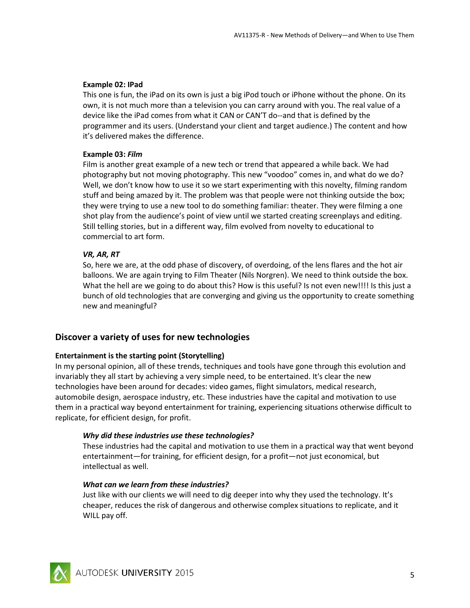#### **Example 02: IPad**

This one is fun, the iPad on its own is just a big iPod touch or iPhone without the phone. On its own, it is not much more than a television you can carry around with you. The real value of a device like the iPad comes from what it CAN or CAN'T do--and that is defined by the programmer and its users. (Understand your client and target audience.) The content and how it's delivered makes the difference.

## **Example 03:** *Film*

Film is another great example of a new tech or trend that appeared a while back. We had photography but not moving photography. This new "voodoo" comes in, and what do we do? Well, we don't know how to use it so we start experimenting with this novelty, filming random stuff and being amazed by it. The problem was that people were not thinking outside the box; they were trying to use a new tool to do something familiar: theater. They were filming a one shot play from the audience's point of view until we started creating screenplays and editing. Still telling stories, but in a different way, film evolved from novelty to educational to commercial to art form.

## *VR, AR, RT*

So, here we are, at the odd phase of discovery, of overdoing, of the lens flares and the hot air balloons. We are again trying to Film Theater (Nils Norgren). We need to think outside the box. What the hell are we going to do about this? How is this useful? Is not even new!!!! Is this just a bunch of old technologies that are converging and giving us the opportunity to create something new and meaningful?

## **Discover a variety of uses for new technologies**

## <span id="page-4-0"></span>**Entertainment is the starting point (Storytelling)**

In my personal opinion, all of these trends, techniques and tools have gone through this evolution and invariably they all start by achieving a very simple need, to be entertained. It's clear the new technologies have been around for decades: video games, flight simulators, medical research, automobile design, aerospace industry, etc. These industries have the capital and motivation to use them in a practical way beyond entertainment for training, experiencing situations otherwise difficult to replicate, for efficient design, for profit.

## *Why did these industries use these technologies?*

These industries had the capital and motivation to use them in a practical way that went beyond entertainment—for training, for efficient design, for a profit—not just economical, but intellectual as well.

#### *What can we learn from these industries?*

Just like with our clients we will need to dig deeper into why they used the technology. It's cheaper, reduces the risk of dangerous and otherwise complex situations to replicate, and it WILL pay off.